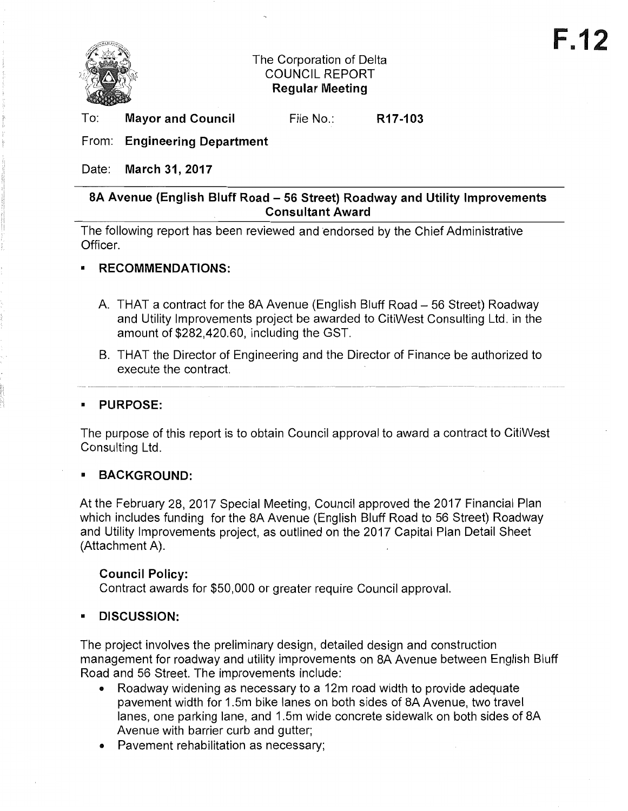

## The Corporation of Delta COUNCIL REPORT **Regular Meeting**

To: **Mayor and Council** 

File No.: **R17-103** 

From: **Engineering Department** 

Date: **March 31, 2017** 

## **8A Avenue (English Bluff Road - 56 Street) Roadway and Utility Improvements Consultant Award**

The following report has been reviewed and endorsed by the Chief Administrative Officer.

## **• RECOMMENDATIONS:**

- A. THAT a contract for the 8A Avenue (English Bluff Road 56 Street) Roadway and Utility Improvements project be awarded to CitiWest Consulting Ltd. in the amount of \$282,420.60, including the GST.
- B. THAT the Director of Engineering and the Director of Finance be authorized to execute the contract.

## **• PURPOSE:**

The purpose of this report is to obtain Council approval to award a contract to CitiWest Consulting Ltd.

# **• BACKGROUND:**

At the February 28,2017 Special Meeting, Council approved the 2017 Financial Plan which includes funding for the 8A Avenue (English Bluff Road to 56 Street) Roadway and Utility Improvements project, as outlined on the 2017 Capital Plan Detail Sheet (Attachment A).

## **Council Policy:**

Contract awards for \$50,000 or greater require Council approval.

# **• DISCUSSION:**

The project involves the preliminary design, detailed design and construction management for roadway and utility improvements on 8A Avenue between English Bluff Road and 56 Street. The improvements include:

- Roadway widening as necessary to a 12m road width to provide adequate pavement width for 1.5m bike lanes on both sides of 8A Avenue, two travel lanes, one parking lane, and 1.5m wide concrete sidewalk on both sides of 8A Avenue with barrier curb and gutter;
- Pavement rehabilitation as necessary;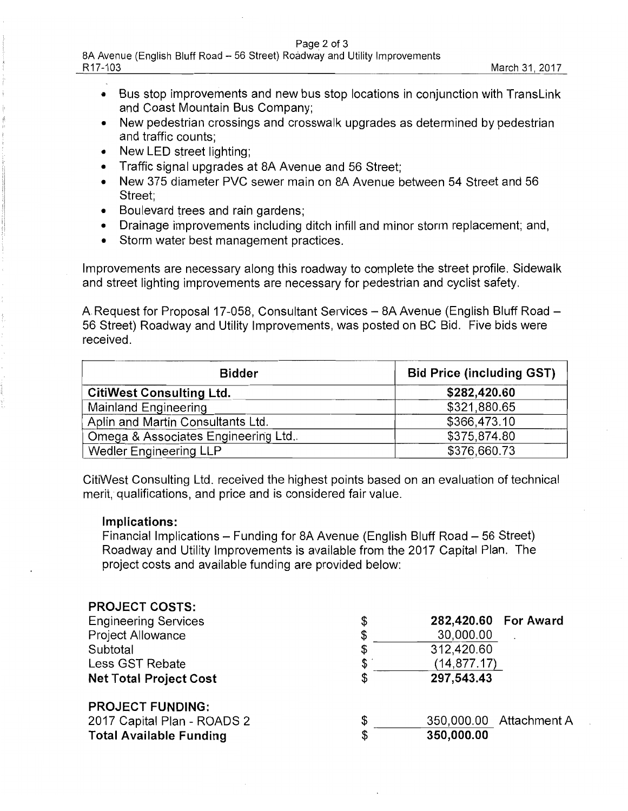## Page 2 of 3

- Bus stop improvements and new bus stop locations in conjunction with TransLink and Coast Mountain Bus Company;
- New pedestrian crossings and crosswalk upgrades as determined by pedestrian and traffic counts;
- New LED street lighting:
- Traffic signal upgrades at SA Avenue and 56 Street;
- New 375 diameter PVC sewer main on SA Avenue between 54 Street and 56 Street;
- Boulevard trees and rain gardens;
- Drainage improvements including ditch infill and minor storm replacement; and,
- Storm water best management practices.

Improvements are necessary along this roadway to complete the street profile. Sidewalk and street lighting improvements are necessary for pedestrian and cyclist safety.

A Request for Proposal 17-058, Consultant Services - 8A Avenue (English Bluff Road -56 Street) Roadway and Utility Improvements, was posted on BC Bid. Five bids were received.

| <b>Bidder</b>                       | <b>Bid Price (including GST)</b> |
|-------------------------------------|----------------------------------|
| <b>CitiWest Consulting Ltd.</b>     | \$282,420.60                     |
| Mainland Engineering                | \$321,880.65                     |
| Aplin and Martin Consultants Ltd.   | \$366,473.10                     |
| Omega & Associates Engineering Ltd. | \$375,874.80                     |
| <b>Wedler Engineering LLP</b>       | \$376,660.73                     |

CitiWest Consulting Ltd. received the highest points based on an evaluation of technical merit, qualifications, and price and is considered fair value.

## **Implications:**

Financial Implications – Funding for 8A Avenue (English Bluff Road – 56 Street) Roadway and Utility Improvements is available from the 2017 Capital Plan. The project costs and available funding are provided below:

| <b>PROJECT COSTS:</b>          |                               |  |
|--------------------------------|-------------------------------|--|
| <b>Engineering Services</b>    | \$<br>282,420.60 For Award    |  |
| Project Allowance              | \$<br>30,000.00               |  |
| Subtotal                       | \$<br>312,420.60              |  |
| Less GST Rebate                | \$<br>(14, 877.17)            |  |
| <b>Net Total Project Cost</b>  | \$<br>297,543.43              |  |
| <b>PROJECT FUNDING:</b>        |                               |  |
| 2017 Capital Plan - ROADS 2    | \$<br>350,000.00 Attachment A |  |
| <b>Total Available Funding</b> | \$<br>350,000.00              |  |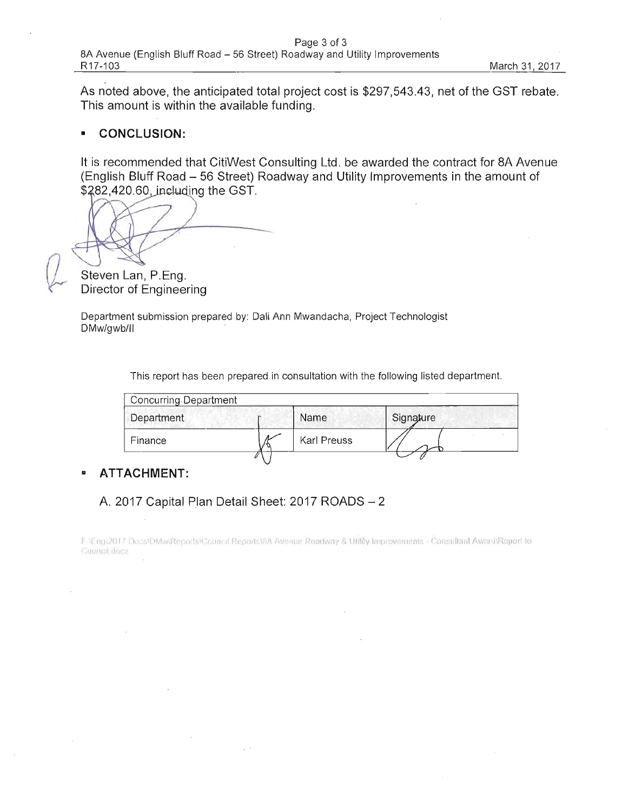As noted above, the anticipated total project cost is \$297,543.43, net of the GST rebate. This amount is within the available funding.

#### **CONCLUSION:**  $\mathbf{r}$

It is recommended that CitiWest Consulting Ltd. be awarded the contract for 8A Avenue (English Bluff Road – 56 Street) Roadway and Utility Improvements in the amount of \$282,420.60, including the GST.

Steven Lan, P.Eng. Director of Engineering

Department submission prepared by: Dali Ann Mwandacha, Project Technologist DMw/gwb/ll

This report has been prepared in consultation with the following listed department.

| Concurring Department |             |           |
|-----------------------|-------------|-----------|
| Department            | Name        | Signature |
| Finance               | Karl Preuss |           |
|                       |             |           |

#### **ATTACHMENT:**  $\blacksquare$

## A. 2017 Capital Plan Detail Sheet: 2017 ROADS - 2

F \Eng\2017 Docs\DMwiReports\Council Reports\6A Avenue Roadway & Utility Improvements - Consultant Award\Report to Council docs